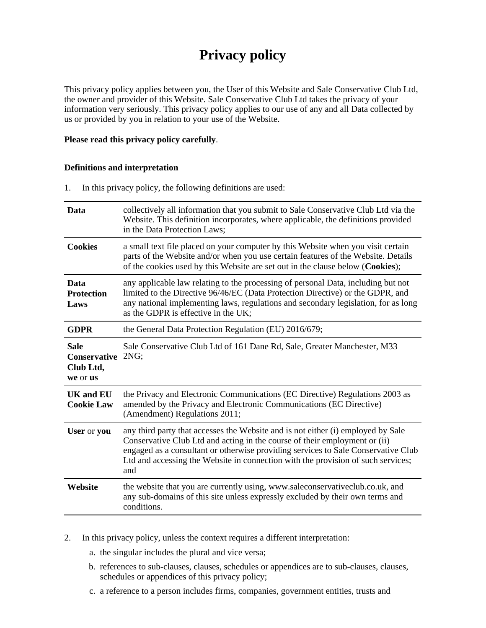# **Privacy policy**

This privacy policy applies between you, the User of this Website and Sale Conservative Club Ltd, the owner and provider of this Website. Sale Conservative Club Ltd takes the privacy of your information very seriously. This privacy policy applies to our use of any and all Data collected by us or provided by you in relation to your use of the Website.

#### **Please read this privacy policy carefully**.

#### **Definitions and interpretation**

1. In this privacy policy, the following definitions are used:

| Data                                                      | collectively all information that you submit to Sale Conservative Club Ltd via the<br>Website. This definition incorporates, where applicable, the definitions provided<br>in the Data Protection Laws;                                                                                                                                        |
|-----------------------------------------------------------|------------------------------------------------------------------------------------------------------------------------------------------------------------------------------------------------------------------------------------------------------------------------------------------------------------------------------------------------|
| <b>Cookies</b>                                            | a small text file placed on your computer by this Website when you visit certain<br>parts of the Website and/or when you use certain features of the Website. Details<br>of the cookies used by this Website are set out in the clause below (Cookies);                                                                                        |
| Data<br><b>Protection</b><br>Laws                         | any applicable law relating to the processing of personal Data, including but not<br>limited to the Directive 96/46/EC (Data Protection Directive) or the GDPR, and<br>any national implementing laws, regulations and secondary legislation, for as long<br>as the GDPR is effective in the UK;                                               |
| <b>GDPR</b>                                               | the General Data Protection Regulation (EU) 2016/679;                                                                                                                                                                                                                                                                                          |
| <b>Sale</b><br>Conservative 2NG;<br>Club Ltd,<br>we or us | Sale Conservative Club Ltd of 161 Dane Rd, Sale, Greater Manchester, M33                                                                                                                                                                                                                                                                       |
| <b>UK</b> and <b>EU</b><br><b>Cookie Law</b>              | the Privacy and Electronic Communications (EC Directive) Regulations 2003 as<br>amended by the Privacy and Electronic Communications (EC Directive)<br>(Amendment) Regulations 2011;                                                                                                                                                           |
| User or you                                               | any third party that accesses the Website and is not either (i) employed by Sale<br>Conservative Club Ltd and acting in the course of their employment or (ii)<br>engaged as a consultant or otherwise providing services to Sale Conservative Club<br>Ltd and accessing the Website in connection with the provision of such services;<br>and |
| Website                                                   | the website that you are currently using, www.saleconservativeclub.co.uk, and<br>any sub-domains of this site unless expressly excluded by their own terms and<br>conditions.                                                                                                                                                                  |
|                                                           |                                                                                                                                                                                                                                                                                                                                                |

- 2. In this privacy policy, unless the context requires a different interpretation:
	- a. the singular includes the plural and vice versa;
	- b. references to sub-clauses, clauses, schedules or appendices are to sub-clauses, clauses, schedules or appendices of this privacy policy;
	- c. a reference to a person includes firms, companies, government entities, trusts and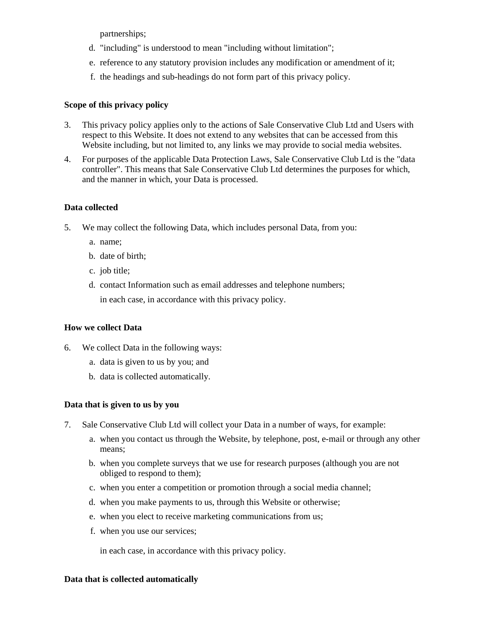partnerships;

- d. "including" is understood to mean "including without limitation";
- e. reference to any statutory provision includes any modification or amendment of it;
- f. the headings and sub-headings do not form part of this privacy policy.

## **Scope of this privacy policy**

- 3. This privacy policy applies only to the actions of Sale Conservative Club Ltd and Users with respect to this Website. It does not extend to any websites that can be accessed from this Website including, but not limited to, any links we may provide to social media websites.
- 4. For purposes of the applicable Data Protection Laws, Sale Conservative Club Ltd is the "data controller". This means that Sale Conservative Club Ltd determines the purposes for which, and the manner in which, your Data is processed.

## **Data collected**

- 5. We may collect the following Data, which includes personal Data, from you:
	- a. name;
	- b. date of birth;
	- c. job title;
	- d. contact Information such as email addresses and telephone numbers; in each case, in accordance with this privacy policy.

## **How we collect Data**

- 6. We collect Data in the following ways:
	- a. data is given to us by you; and
	- b. data is collected automatically.

## **Data that is given to us by you**

- 7. Sale Conservative Club Ltd will collect your Data in a number of ways, for example:
	- a. when you contact us through the Website, by telephone, post, e-mail or through any other means;
	- b. when you complete surveys that we use for research purposes (although you are not obliged to respond to them);
	- c. when you enter a competition or promotion through a social media channel;
	- d. when you make payments to us, through this Website or otherwise;
	- e. when you elect to receive marketing communications from us;
	- f. when you use our services;

in each case, in accordance with this privacy policy.

#### **Data that is collected automatically**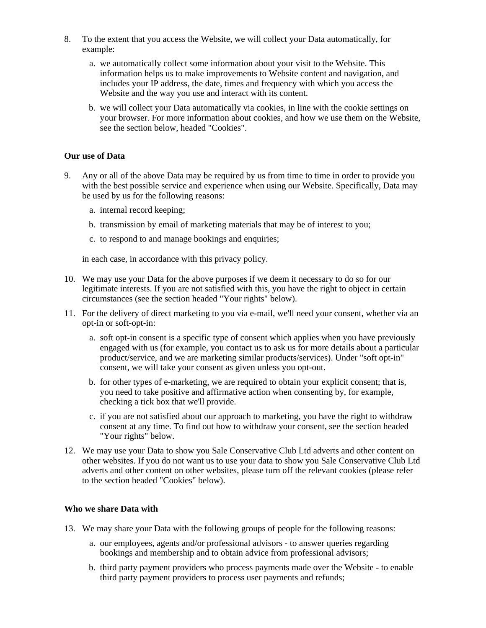- 8. To the extent that you access the Website, we will collect your Data automatically, for example:
	- a. we automatically collect some information about your visit to the Website. This information helps us to make improvements to Website content and navigation, and includes your IP address, the date, times and frequency with which you access the Website and the way you use and interact with its content.
	- b. we will collect your Data automatically via cookies, in line with the cookie settings on your browser. For more information about cookies, and how we use them on the Website, see the section below, headed "Cookies".

#### **Our use of Data**

- 9. Any or all of the above Data may be required by us from time to time in order to provide you with the best possible service and experience when using our Website. Specifically, Data may be used by us for the following reasons:
	- a. internal record keeping;
	- b. transmission by email of marketing materials that may be of interest to you;
	- c. to respond to and manage bookings and enquiries;

in each case, in accordance with this privacy policy.

- 10. We may use your Data for the above purposes if we deem it necessary to do so for our legitimate interests. If you are not satisfied with this, you have the right to object in certain circumstances (see the section headed "Your rights" below).
- 11. For the delivery of direct marketing to you via e-mail, we'll need your consent, whether via an opt-in or soft-opt-in:
	- a. soft opt-in consent is a specific type of consent which applies when you have previously engaged with us (for example, you contact us to ask us for more details about a particular product/service, and we are marketing similar products/services). Under "soft opt-in" consent, we will take your consent as given unless you opt-out.
	- b. for other types of e-marketing, we are required to obtain your explicit consent; that is, you need to take positive and affirmative action when consenting by, for example, checking a tick box that we'll provide.
	- c. if you are not satisfied about our approach to marketing, you have the right to withdraw consent at any time. To find out how to withdraw your consent, see the section headed "Your rights" below.
- 12. We may use your Data to show you Sale Conservative Club Ltd adverts and other content on other websites. If you do not want us to use your data to show you Sale Conservative Club Ltd adverts and other content on other websites, please turn off the relevant cookies (please refer to the section headed "Cookies" below).

#### **Who we share Data with**

- 13. We may share your Data with the following groups of people for the following reasons:
	- a. our employees, agents and/or professional advisors to answer queries regarding bookings and membership and to obtain advice from professional advisors;
	- b. third party payment providers who process payments made over the Website to enable third party payment providers to process user payments and refunds;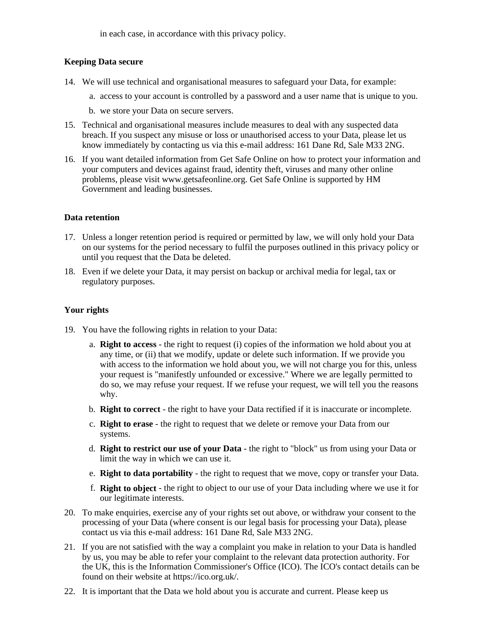in each case, in accordance with this privacy policy.

## **Keeping Data secure**

- 14. We will use technical and organisational measures to safeguard your Data, for example:
	- a. access to your account is controlled by a password and a user name that is unique to you.
	- b. we store your Data on secure servers.
- 15. Technical and organisational measures include measures to deal with any suspected data breach. If you suspect any misuse or loss or unauthorised access to your Data, please let us know immediately by contacting us via this e-mail address: 161 Dane Rd, Sale M33 2NG.
- 16. If you want detailed information from Get Safe Online on how to protect your information and your computers and devices against fraud, identity theft, viruses and many other online problems, please visit www.getsafeonline.org. Get Safe Online is supported by HM Government and leading businesses.

## **Data retention**

- 17. Unless a longer retention period is required or permitted by law, we will only hold your Data on our systems for the period necessary to fulfil the purposes outlined in this privacy policy or until you request that the Data be deleted.
- 18. Even if we delete your Data, it may persist on backup or archival media for legal, tax or regulatory purposes.

# **Your rights**

- 19. You have the following rights in relation to your Data:
	- a. **Right to access** the right to request (i) copies of the information we hold about you at any time, or (ii) that we modify, update or delete such information. If we provide you with access to the information we hold about you, we will not charge you for this, unless your request is "manifestly unfounded or excessive." Where we are legally permitted to do so, we may refuse your request. If we refuse your request, we will tell you the reasons why.
	- b. **Right to correct** the right to have your Data rectified if it is inaccurate or incomplete.
	- c. **Right to erase** the right to request that we delete or remove your Data from our systems.
	- d. **Right to restrict our use of your Data** the right to "block" us from using your Data or limit the way in which we can use it.
	- e. **Right to data portability** the right to request that we move, copy or transfer your Data.
	- f. **Right to object** the right to object to our use of your Data including where we use it for our legitimate interests.
- 20. To make enquiries, exercise any of your rights set out above, or withdraw your consent to the processing of your Data (where consent is our legal basis for processing your Data), please contact us via this e-mail address: 161 Dane Rd, Sale M33 2NG.
- 21. If you are not satisfied with the way a complaint you make in relation to your Data is handled by us, you may be able to refer your complaint to the relevant data protection authority. For the UK, this is the Information Commissioner's Office (ICO). The ICO's contact details can be found on their website at https://ico.org.uk/.
- 22. It is important that the Data we hold about you is accurate and current. Please keep us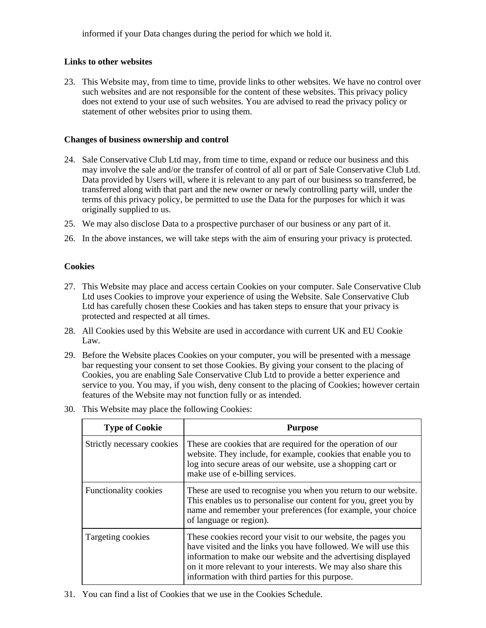informed if your Data changes during the period for which we hold it.

## **Links to other websites**

23. This Website may, from time to time, provide links to other websites. We have no control over such websites and are not responsible for the content of these websites. This privacy policy does not extend to your use of such websites. You are advised to read the privacy policy or statement of other websites prior to using them.

## **Changes of business ownership and control**

- 24. Sale Conservative Club Ltd may, from time to time, expand or reduce our business and this may involve the sale and/or the transfer of control of all or part of Sale Conservative Club Ltd. Data provided by Users will, where it is relevant to any part of our business so transferred, be transferred along with that part and the new owner or newly controlling party will, under the terms of this privacy policy, be permitted to use the Data for the purposes for which it was originally supplied to us.
- 25. We may also disclose Data to a prospective purchaser of our business or any part of it.
- 26. In the above instances, we will take steps with the aim of ensuring your privacy is protected.

## **Cookies**

- 27. This Website may place and access certain Cookies on your computer. Sale Conservative Club Ltd uses Cookies to improve your experience of using the Website. Sale Conservative Club Ltd has carefully chosen these Cookies and has taken steps to ensure that your privacy is protected and respected at all times.
- 28. All Cookies used by this Website are used in accordance with current UK and EU Cookie Law.
- 29. Before the Website places Cookies on your computer, you will be presented with a message bar requesting your consent to set those Cookies. By giving your consent to the placing of Cookies, you are enabling Sale Conservative Club Ltd to provide a better experience and service to you. You may, if you wish, deny consent to the placing of Cookies; however certain features of the Website may not function fully or as intended.
- 30. This Website may place the following Cookies:

| <b>Type of Cookie</b>      | <b>Purpose</b>                                                                                                                                                                                                                                                                                                        |
|----------------------------|-----------------------------------------------------------------------------------------------------------------------------------------------------------------------------------------------------------------------------------------------------------------------------------------------------------------------|
| Strictly necessary cookies | These are cookies that are required for the operation of our<br>website. They include, for example, cookies that enable you to<br>log into secure areas of our website, use a shopping cart or<br>make use of e-billing services.                                                                                     |
| Functionality cookies      | These are used to recognise you when you return to our website.<br>This enables us to personalise our content for you, greet you by<br>name and remember your preferences (for example, your choice<br>of language or region).                                                                                        |
| Targeting cookies          | These cookies record your visit to our website, the pages you<br>have visited and the links you have followed. We will use this<br>information to make our website and the advertising displayed<br>on it more relevant to your interests. We may also share this<br>information with third parties for this purpose. |

31. You can find a list of Cookies that we use in the Cookies Schedule.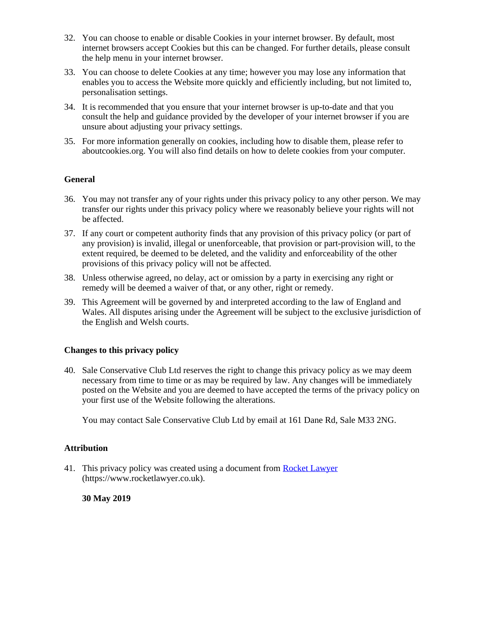- 32. You can choose to enable or disable Cookies in your internet browser. By default, most internet browsers accept Cookies but this can be changed. For further details, please consult the help menu in your internet browser.
- 33. You can choose to delete Cookies at any time; however you may lose any information that enables you to access the Website more quickly and efficiently including, but not limited to, personalisation settings.
- 34. It is recommended that you ensure that your internet browser is up-to-date and that you consult the help and guidance provided by the developer of your internet browser if you are unsure about adjusting your privacy settings.
- 35. For more information generally on cookies, including how to disable them, please refer to aboutcookies.org. You will also find details on how to delete cookies from your computer.

## **General**

- 36. You may not transfer any of your rights under this privacy policy to any other person. We may transfer our rights under this privacy policy where we reasonably believe your rights will not be affected.
- 37. If any court or competent authority finds that any provision of this privacy policy (or part of any provision) is invalid, illegal or unenforceable, that provision or part-provision will, to the extent required, be deemed to be deleted, and the validity and enforceability of the other provisions of this privacy policy will not be affected.
- 38. Unless otherwise agreed, no delay, act or omission by a party in exercising any right or remedy will be deemed a waiver of that, or any other, right or remedy.
- 39. This Agreement will be governed by and interpreted according to the law of England and Wales. All disputes arising under the Agreement will be subject to the exclusive jurisdiction of the English and Welsh courts.

#### **Changes to this privacy policy**

40. Sale Conservative Club Ltd reserves the right to change this privacy policy as we may deem necessary from time to time or as may be required by law. Any changes will be immediately posted on the Website and you are deemed to have accepted the terms of the privacy policy on your first use of the Website following the alterations.

You may contact Sale Conservative Club Ltd by email at 161 Dane Rd, Sale M33 2NG.

#### **Attribution**

41. This privacy policy was created using a document from [Rocket Lawyer](https://www.rocketlawyer.co.uk/) (https://www.rocketlawyer.co.uk).

#### **30 May 2019**